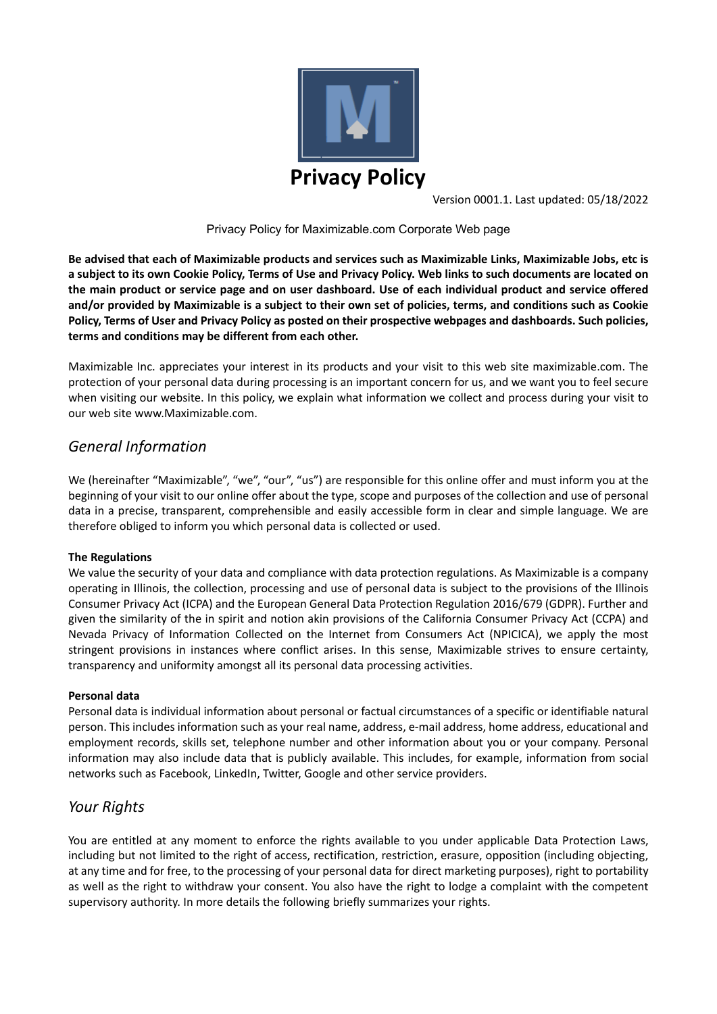

Version 0001.1. Last updated: 05/18/2022

Privacy Policy for Maximizable.com Corporate Web page

**Be advised that each of Maximizable products and services such as Maximizable Links, Maximizable Jobs, etc is a subject to its own Cookie Policy, Terms of Use and Privacy Policy. Web links to such documents are located on the main product or service page and on user dashboard. Use of each individual product and service offered and/or provided by Maximizable is a subject to their own set of policies, terms, and conditions such as Cookie Policy, Terms of User and Privacy Policy as posted on their prospective webpages and dashboards. Such policies, terms and conditions may be different from each other.** 

Maximizable Inc. appreciates your interest in its products and your visit to this web site maximizable.com. The protection of your personal data during processing is an important concern for us, and we want you to feel secure when visiting our website. In this policy, we explain what information we collect and process during your visit to our web site www.Maximizable.com.

# *General Information*

We (hereinafter "Maximizable", "we", "our", "us") are responsible for this online offer and must inform you at the beginning of your visit to our online offer about the type, scope and purposes of the collection and use of personal data in a precise, transparent, comprehensible and easily accessible form in clear and simple language. We are therefore obliged to inform you which personal data is collected or used.

# **The Regulations**

We value the security of your data and compliance with data protection regulations. As Maximizable is a company operating in Illinois, the collection, processing and use of personal data is subject to the provisions of the Illinois Consumer Privacy Act (ICPA) and the European General Data Protection Regulation 2016/679 (GDPR). Further and given the similarity of the in spirit and notion akin provisions of the California Consumer Privacy Act (CCPA) and Nevada Privacy of Information Collected on the Internet from Consumers Act (NPICICA), we apply the most stringent provisions in instances where conflict arises. In this sense, Maximizable strives to ensure certainty, transparency and uniformity amongst all its personal data processing activities.

# **Personal data**

Personal data is individual information about personal or factual circumstances of a specific or identifiable natural person. This includes information such as your real name, address, e-mail address, home address, educational and employment records, skills set, telephone number and other information about you or your company. Personal information may also include data that is publicly available. This includes, for example, information from social networks such as Facebook, LinkedIn, Twitter, Google and other service providers.

# *Your Rights*

You are entitled at any moment to enforce the rights available to you under applicable Data Protection Laws, including but not limited to the right of access, rectification, restriction, erasure, opposition (including objecting, at any time and for free, to the processing of your personal data for direct marketing purposes), right to portability as well as the right to withdraw your consent. You also have the right to lodge a complaint with the competent supervisory authority. In more details the following briefly summarizes your rights.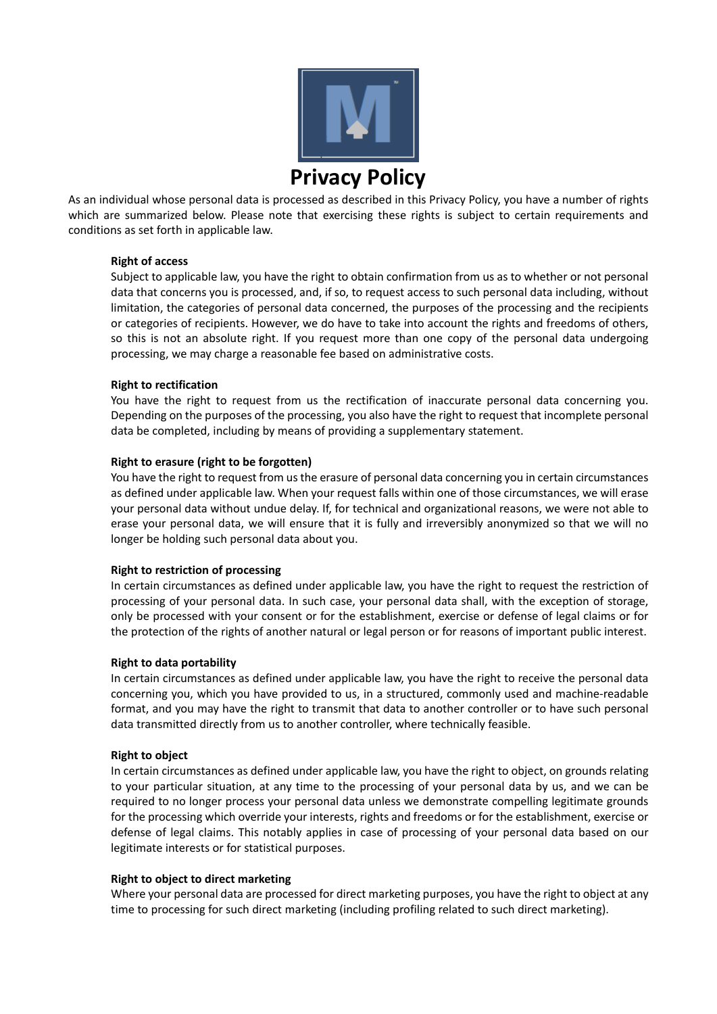

As an individual whose personal data is processed as described in this Privacy Policy, you have a number of rights which are summarized below. Please note that exercising these rights is subject to certain requirements and conditions as set forth in applicable law.

### **Right of access**

Subject to applicable law, you have the right to obtain confirmation from us as to whether or not personal data that concerns you is processed, and, if so, to request access to such personal data including, without limitation, the categories of personal data concerned, the purposes of the processing and the recipients or categories of recipients. However, we do have to take into account the rights and freedoms of others, so this is not an absolute right. If you request more than one copy of the personal data undergoing processing, we may charge a reasonable fee based on administrative costs.

### **Right to rectification**

You have the right to request from us the rectification of inaccurate personal data concerning you. Depending on the purposes of the processing, you also have the right to request that incomplete personal data be completed, including by means of providing a supplementary statement.

### **Right to erasure (right to be forgotten)**

You have the right to request from us the erasure of personal data concerning you in certain circumstances as defined under applicable law. When your request falls within one of those circumstances, we will erase your personal data without undue delay. If, for technical and organizational reasons, we were not able to erase your personal data, we will ensure that it is fully and irreversibly anonymized so that we will no longer be holding such personal data about you.

#### **Right to restriction of processing**

In certain circumstances as defined under applicable law, you have the right to request the restriction of processing of your personal data. In such case, your personal data shall, with the exception of storage, only be processed with your consent or for the establishment, exercise or defense of legal claims or for the protection of the rights of another natural or legal person or for reasons of important public interest.

#### **Right to data portability**

In certain circumstances as defined under applicable law, you have the right to receive the personal data concerning you, which you have provided to us, in a structured, commonly used and machine-readable format, and you may have the right to transmit that data to another controller or to have such personal data transmitted directly from us to another controller, where technically feasible.

#### **Right to object**

In certain circumstances as defined under applicable law, you have the right to object, on grounds relating to your particular situation, at any time to the processing of your personal data by us, and we can be required to no longer process your personal data unless we demonstrate compelling legitimate grounds for the processing which override your interests, rights and freedoms or for the establishment, exercise or defense of legal claims. This notably applies in case of processing of your personal data based on our legitimate interests or for statistical purposes.

#### **Right to object to direct marketing**

Where your personal data are processed for direct marketing purposes, you have the right to object at any time to processing for such direct marketing (including profiling related to such direct marketing).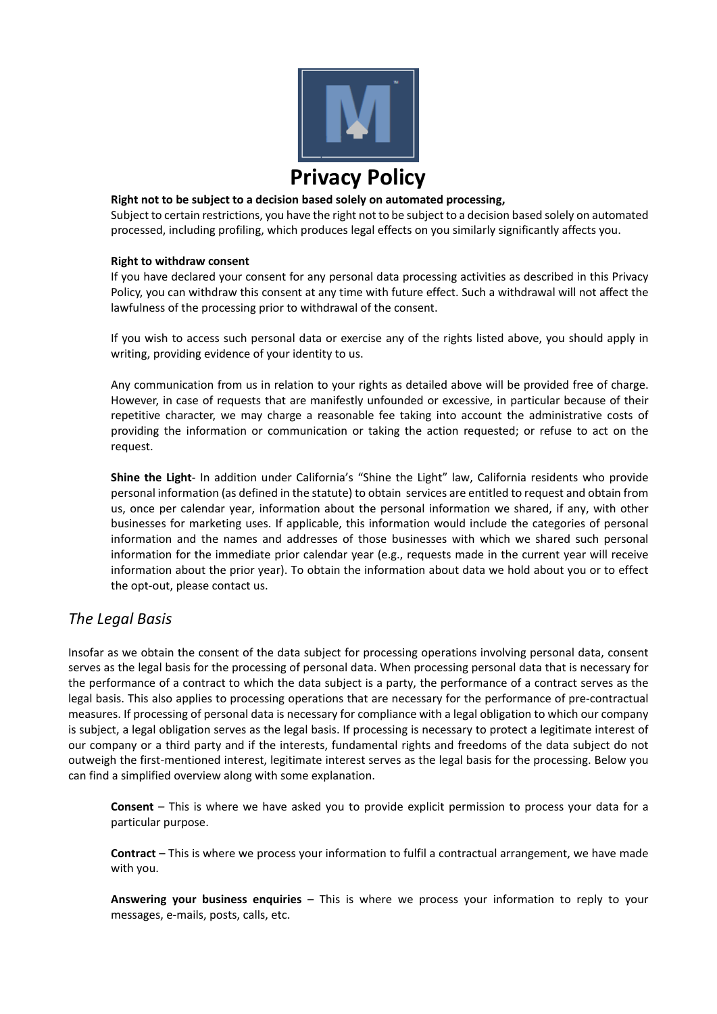

### **Right not to be subject to a decision based solely on automated processing,**

Subject to certain restrictions, you have the right not to be subject to a decision based solely on automated processed, including profiling, which produces legal effects on you similarly significantly affects you.

#### **Right to withdraw consent**

If you have declared your consent for any personal data processing activities as described in this Privacy Policy, you can withdraw this consent at any time with future effect. Such a withdrawal will not affect the lawfulness of the processing prior to withdrawal of the consent.

If you wish to access such personal data or exercise any of the rights listed above, you should apply in writing, providing evidence of your identity to us.

Any communication from us in relation to your rights as detailed above will be provided free of charge. However, in case of requests that are manifestly unfounded or excessive, in particular because of their repetitive character, we may charge a reasonable fee taking into account the administrative costs of providing the information or communication or taking the action requested; or refuse to act on the request.

**Shine the Light**- In addition under California's "Shine the Light" law, California residents who provide personal information (as defined in the statute) to obtain services are entitled to request and obtain from us, once per calendar year, information about the personal information we shared, if any, with other businesses for marketing uses. If applicable, this information would include the categories of personal information and the names and addresses of those businesses with which we shared such personal information for the immediate prior calendar year (e.g., requests made in the current year will receive information about the prior year). To obtain the information about data we hold about you or to effect the opt-out, please contact us.

# *The Legal Basis*

Insofar as we obtain the consent of the data subject for processing operations involving personal data, consent serves as the legal basis for the processing of personal data. When processing personal data that is necessary for the performance of a contract to which the data subject is a party, the performance of a contract serves as the legal basis. This also applies to processing operations that are necessary for the performance of pre-contractual measures. If processing of personal data is necessary for compliance with a legal obligation to which our company is subject, a legal obligation serves as the legal basis. If processing is necessary to protect a legitimate interest of our company or a third party and if the interests, fundamental rights and freedoms of the data subject do not outweigh the first-mentioned interest, legitimate interest serves as the legal basis for the processing. Below you can find a simplified overview along with some explanation.

**Consent** – This is where we have asked you to provide explicit permission to process your data for a particular purpose.

**Contract** – This is where we process your information to fulfil a contractual arrangement, we have made with you.

**Answering your business enquiries** – This is where we process your information to reply to your messages, e-mails, posts, calls, etc.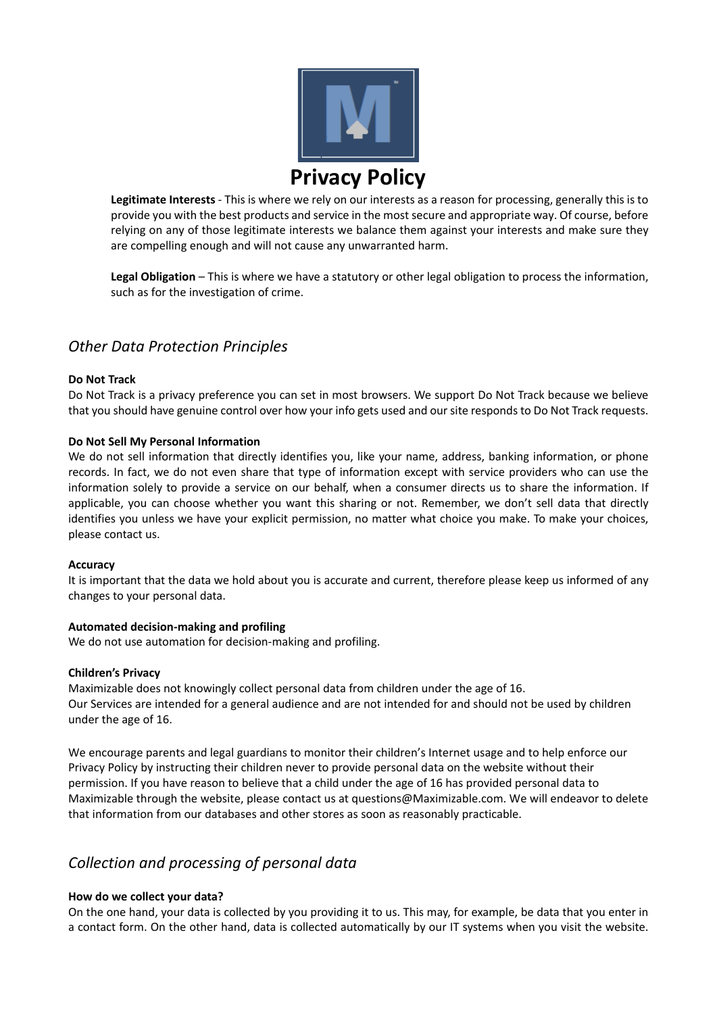

**Legitimate Interests** - This is where we rely on our interests as a reason for processing, generally this is to provide you with the best products and service in the most secure and appropriate way. Of course, before relying on any of those legitimate interests we balance them against your interests and make sure they are compelling enough and will not cause any unwarranted harm.

**Legal Obligation** – This is where we have a statutory or other legal obligation to process the information, such as for the investigation of crime.

# *Other Data Protection Principles*

# **Do Not Track**

Do Not Track is a privacy preference you can set in most browsers. We support Do Not Track because we believe that you should have genuine control over how your info gets used and our site responds to Do Not Track requests.

### **Do Not Sell My Personal Information**

We do not sell information that directly identifies you, like your name, address, banking information, or phone records. In fact, we do not even share that type of information except with service providers who can use the information solely to provide a service on our behalf, when a consumer directs us to share the information. If applicable, you can choose whether you want this sharing or not. Remember, we don't sell data that directly identifies you unless we have your explicit permission, no matter what choice you make. To make your choices, please contact us.

#### **Accuracy**

It is important that the data we hold about you is accurate and current, therefore please keep us informed of any changes to your personal data.

# **Automated decision-making and profiling**

We do not use automation for decision-making and profiling.

#### **Children's Privacy**

Maximizable does not knowingly collect personal data from children under the age of 16. Our Services are intended for a general audience and are not intended for and should not be used by children under the age of 16.

We encourage parents and legal guardians to monitor their children's Internet usage and to help enforce our Privacy Policy by instructing their children never to provide personal data on the website without their permission. If you have reason to believe that a child under the age of 16 has provided personal data to Maximizable through the website, please contact us at questions@Maximizable.com. We will endeavor to delete that information from our databases and other stores as soon as reasonably practicable.

# *Collection and processing of personal data*

# **How do we collect your data?**

On the one hand, your data is collected by you providing it to us. This may, for example, be data that you enter in a contact form. On the other hand, data is collected automatically by our IT systems when you visit the website.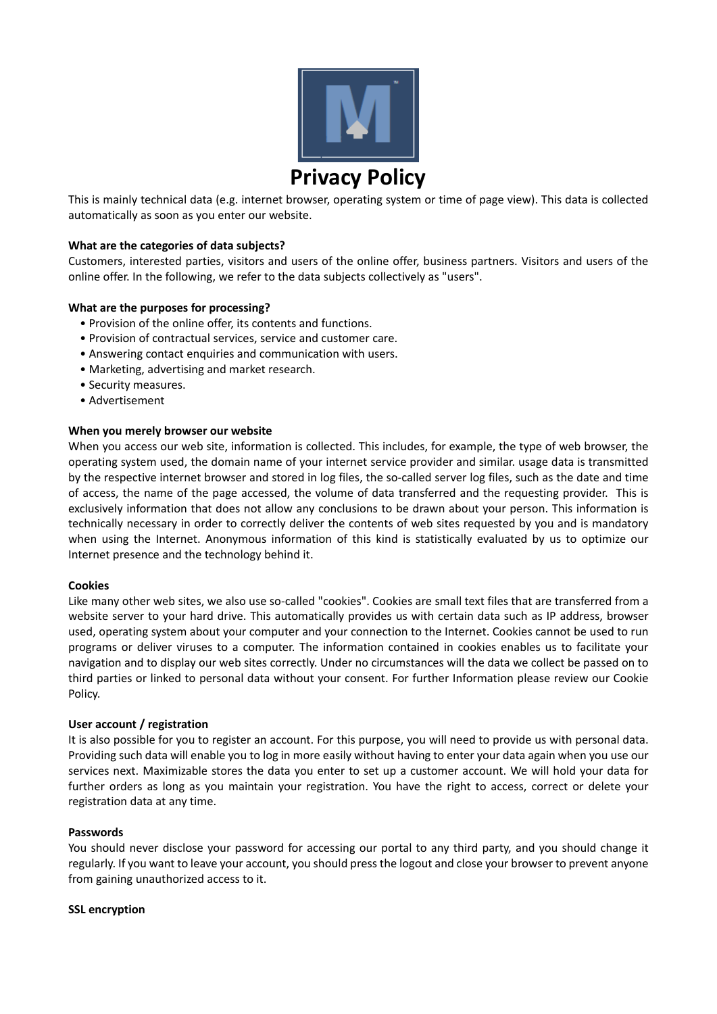

This is mainly technical data (e.g. internet browser, operating system or time of page view). This data is collected automatically as soon as you enter our website.

### **What are the categories of data subjects?**

Customers, interested parties, visitors and users of the online offer, business partners. Visitors and users of the online offer. In the following, we refer to the data subjects collectively as "users".

#### **What are the purposes for processing?**

- Provision of the online offer, its contents and functions.
- Provision of contractual services, service and customer care.
- Answering contact enquiries and communication with users.
- Marketing, advertising and market research.
- Security measures.
- Advertisement

#### **When you merely browser our website**

When you access our web site, information is collected. This includes, for example, the type of web browser, the operating system used, the domain name of your internet service provider and similar. usage data is transmitted by the respective internet browser and stored in log files, the so-called server log files, such as the date and time of access, the name of the page accessed, the volume of data transferred and the requesting provider. This is exclusively information that does not allow any conclusions to be drawn about your person. This information is technically necessary in order to correctly deliver the contents of web sites requested by you and is mandatory when using the Internet. Anonymous information of this kind is statistically evaluated by us to optimize our Internet presence and the technology behind it.

#### **Cookies**

Like many other web sites, we also use so-called "cookies". Cookies are small text files that are transferred from a website server to your hard drive. This automatically provides us with certain data such as IP address, browser used, operating system about your computer and your connection to the Internet. Cookies cannot be used to run programs or deliver viruses to a computer. The information contained in cookies enables us to facilitate your navigation and to display our web sites correctly. Under no circumstances will the data we collect be passed on to third parties or linked to personal data without your consent. For further Information please review our Cookie Policy.

#### **User account / registration**

It is also possible for you to register an account. For this purpose, you will need to provide us with personal data. Providing such data will enable you to log in more easily without having to enter your data again when you use our services next. Maximizable stores the data you enter to set up a customer account. We will hold your data for further orders as long as you maintain your registration. You have the right to access, correct or delete your registration data at any time.

#### **Passwords**

You should never disclose your password for accessing our portal to any third party, and you should change it regularly. If you want to leave your account, you should press the logout and close your browser to prevent anyone from gaining unauthorized access to it.

#### **SSL encryption**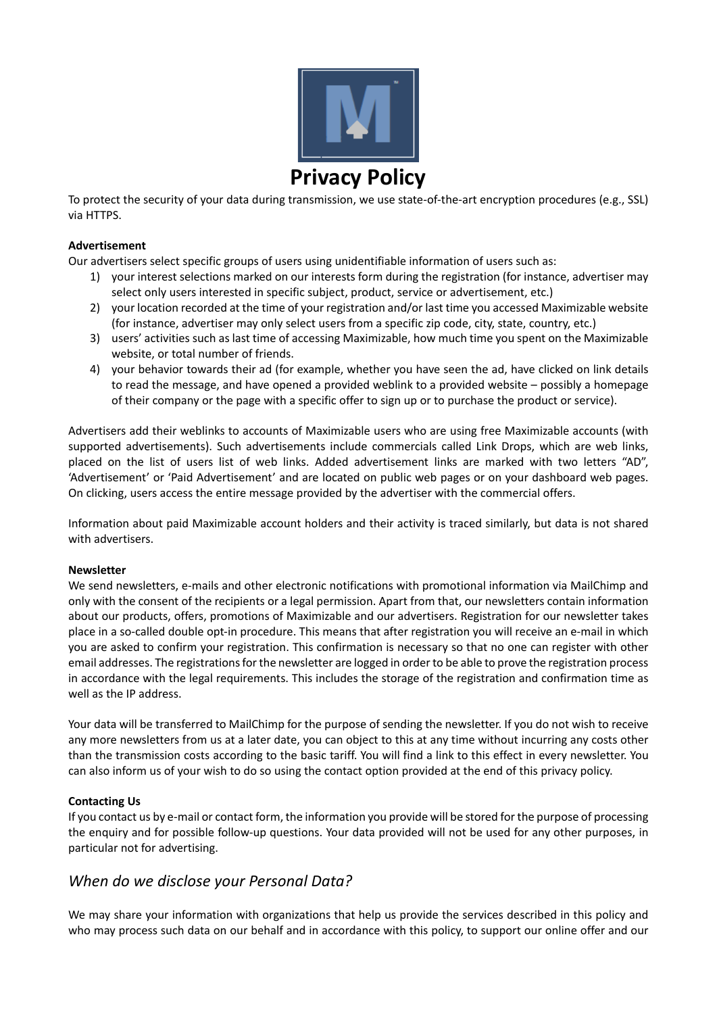

To protect the security of your data during transmission, we use state-of-the-art encryption procedures (e.g., SSL) via HTTPS.

### **Advertisement**

Our advertisers select specific groups of users using unidentifiable information of users such as:

- 1) your interest selections marked on our interests form during the registration (for instance, advertiser may select only users interested in specific subject, product, service or advertisement, etc.)
- 2) your location recorded at the time of your registration and/or last time you accessed Maximizable website (for instance, advertiser may only select users from a specific zip code, city, state, country, etc.)
- 3) users' activities such as last time of accessing Maximizable, how much time you spent on the Maximizable website, or total number of friends.
- 4) your behavior towards their ad (for example, whether you have seen the ad, have clicked on link details to read the message, and have opened a provided weblink to a provided website – possibly a homepage of their company or the page with a specific offer to sign up or to purchase the product or service).

Advertisers add their weblinks to accounts of Maximizable users who are using free Maximizable accounts (with supported advertisements). Such advertisements include commercials called Link Drops, which are web links, placed on the list of users list of web links. Added advertisement links are marked with two letters "AD", 'Advertisement' or 'Paid Advertisement' and are located on public web pages or on your dashboard web pages. On clicking, users access the entire message provided by the advertiser with the commercial offers.

Information about paid Maximizable account holders and their activity is traced similarly, but data is not shared with advertisers.

#### **Newsletter**

We send newsletters, e-mails and other electronic notifications with promotional information via MailChimp and only with the consent of the recipients or a legal permission. Apart from that, our newsletters contain information about our products, offers, promotions of Maximizable and our advertisers. Registration for our newsletter takes place in a so-called double opt-in procedure. This means that after registration you will receive an e-mail in which you are asked to confirm your registration. This confirmation is necessary so that no one can register with other email addresses. The registrations for the newsletter are logged in order to be able to prove the registration process in accordance with the legal requirements. This includes the storage of the registration and confirmation time as well as the IP address.

Your data will be transferred to MailChimp for the purpose of sending the newsletter. If you do not wish to receive any more newsletters from us at a later date, you can object to this at any time without incurring any costs other than the transmission costs according to the basic tariff. You will find a link to this effect in every newsletter. You can also inform us of your wish to do so using the contact option provided at the end of this privacy policy.

# **Contacting Us**

If you contact us by e-mail or contact form, the information you provide will be stored for the purpose of processing the enquiry and for possible follow-up questions. Your data provided will not be used for any other purposes, in particular not for advertising.

# *When do we disclose your Personal Data?*

We may share your information with organizations that help us provide the services described in this policy and who may process such data on our behalf and in accordance with this policy, to support our online offer and our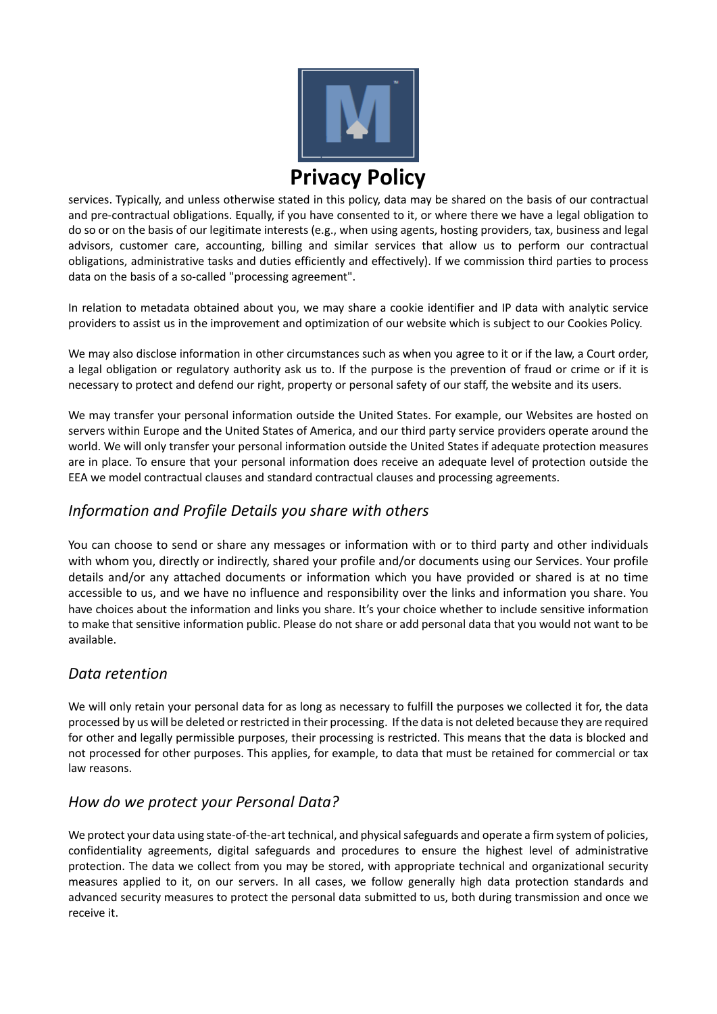

services. Typically, and unless otherwise stated in this policy, data may be shared on the basis of our contractual and pre-contractual obligations. Equally, if you have consented to it, or where there we have a legal obligation to do so or on the basis of our legitimate interests (e.g., when using agents, hosting providers, tax, business and legal advisors, customer care, accounting, billing and similar services that allow us to perform our contractual obligations, administrative tasks and duties efficiently and effectively). If we commission third parties to process data on the basis of a so-called "processing agreement".

In relation to metadata obtained about you, we may share a cookie identifier and IP data with analytic service providers to assist us in the improvement and optimization of our website which is subject to our Cookies Policy.

We may also disclose information in other circumstances such as when you agree to it or if the law, a Court order, a legal obligation or regulatory authority ask us to. If the purpose is the prevention of fraud or crime or if it is necessary to protect and defend our right, property or personal safety of our staff, the website and its users.

We may transfer your personal information outside the United States. For example, our Websites are hosted on servers within Europe and the United States of America, and our third party service providers operate around the world. We will only transfer your personal information outside the United States if adequate protection measures are in place. To ensure that your personal information does receive an adequate level of protection outside the EEA we model contractual clauses and standard contractual clauses and processing agreements.

# *Information and Profile Details you share with others*

You can choose to send or share any messages or information with or to third party and other individuals with whom you, directly or indirectly, shared your profile and/or documents using our Services. Your profile details and/or any attached documents or information which you have provided or shared is at no time accessible to us, and we have no influence and responsibility over the links and information you share. You have choices about the information and links you share. It's your choice whether to include sensitive information to make that sensitive information public. Please do not share or add personal data that you would not want to be available.

# *Data retention*

We will only retain your personal data for as long as necessary to fulfill the purposes we collected it for, the data processed by us will be deleted or restricted in their processing. If the data is not deleted because they are required for other and legally permissible purposes, their processing is restricted. This means that the data is blocked and not processed for other purposes. This applies, for example, to data that must be retained for commercial or tax law reasons.

# *How do we protect your Personal Data?*

We protect your data using state-of-the-art technical, and physical safeguards and operate a firm system of policies, confidentiality agreements, digital safeguards and procedures to ensure the highest level of administrative protection. The data we collect from you may be stored, with appropriate technical and organizational security measures applied to it, on our servers. In all cases, we follow generally high data protection standards and advanced security measures to protect the personal data submitted to us, both during transmission and once we receive it.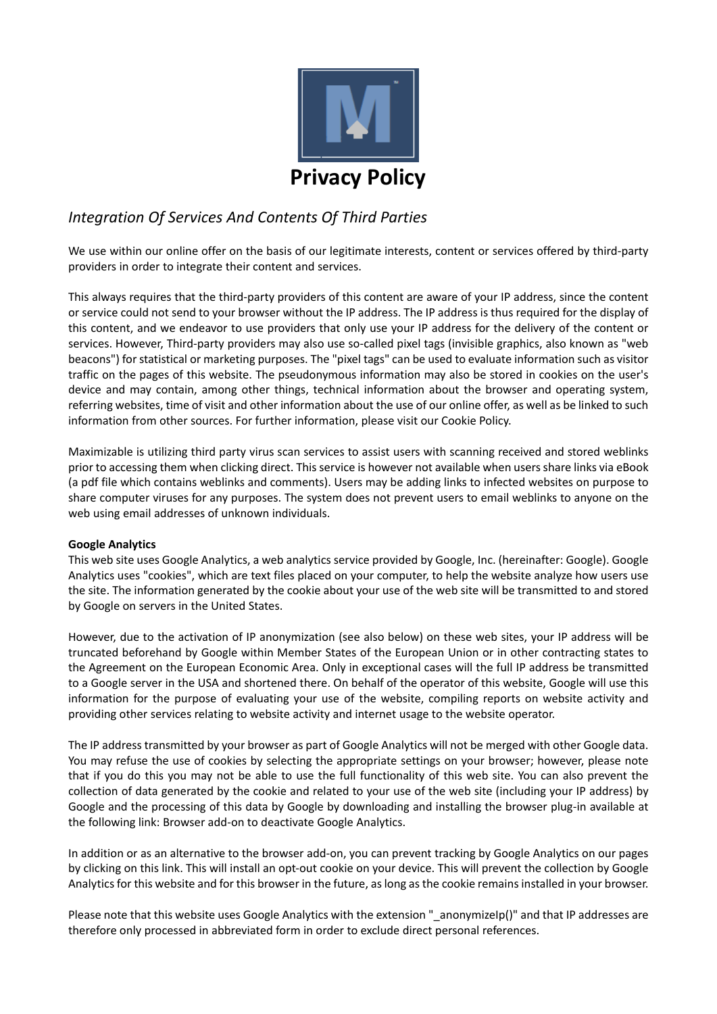

# *Integration Of Services And Contents Of Third Parties*

We use within our online offer on the basis of our legitimate interests, content or services offered by third-party providers in order to integrate their content and services.

This always requires that the third-party providers of this content are aware of your IP address, since the content or service could not send to your browser without the IP address. The IP address is thus required for the display of this content, and we endeavor to use providers that only use your IP address for the delivery of the content or services. However, Third-party providers may also use so-called pixel tags (invisible graphics, also known as "web beacons") for statistical or marketing purposes. The "pixel tags" can be used to evaluate information such as visitor traffic on the pages of this website. The pseudonymous information may also be stored in cookies on the user's device and may contain, among other things, technical information about the browser and operating system, referring websites, time of visit and other information about the use of our online offer, as well as be linked to such information from other sources. For further information, please visit our Cookie Policy.

Maximizable is utilizing third party virus scan services to assist users with scanning received and stored weblinks prior to accessing them when clicking direct. This service is however not available when users share links via eBook (a pdf file which contains weblinks and comments). Users may be adding links to infected websites on purpose to share computer viruses for any purposes. The system does not prevent users to email weblinks to anyone on the web using email addresses of unknown individuals.

# **Google Analytics**

This web site uses Google Analytics, a web analytics service provided by Google, Inc. (hereinafter: Google). Google Analytics uses "cookies", which are text files placed on your computer, to help the website analyze how users use the site. The information generated by the cookie about your use of the web site will be transmitted to and stored by Google on servers in the United States.

However, due to the activation of IP anonymization (see also below) on these web sites, your IP address will be truncated beforehand by Google within Member States of the European Union or in other contracting states to the Agreement on the European Economic Area. Only in exceptional cases will the full IP address be transmitted to a Google server in the USA and shortened there. On behalf of the operator of this website, Google will use this information for the purpose of evaluating your use of the website, compiling reports on website activity and providing other services relating to website activity and internet usage to the website operator.

The IP address transmitted by your browser as part of Google Analytics will not be merged with other Google data. You may refuse the use of cookies by selecting the appropriate settings on your browser; however, please note that if you do this you may not be able to use the full functionality of this web site. You can also prevent the collection of data generated by the cookie and related to your use of the web site (including your IP address) by Google and the processing of this data by Google by downloading and installing the browser plug-in available at the following link: Browser add-on to deactivate Google Analytics.

In addition or as an alternative to the browser add-on, you can prevent tracking by Google Analytics on our pages by clicking on this link. This will install an opt-out cookie on your device. This will prevent the collection by Google Analytics for this website and for this browser in the future, as long as the cookie remains installed in your browser.

Please note that this website uses Google Analytics with the extension "\_anonymizeIp()" and that IP addresses are therefore only processed in abbreviated form in order to exclude direct personal references.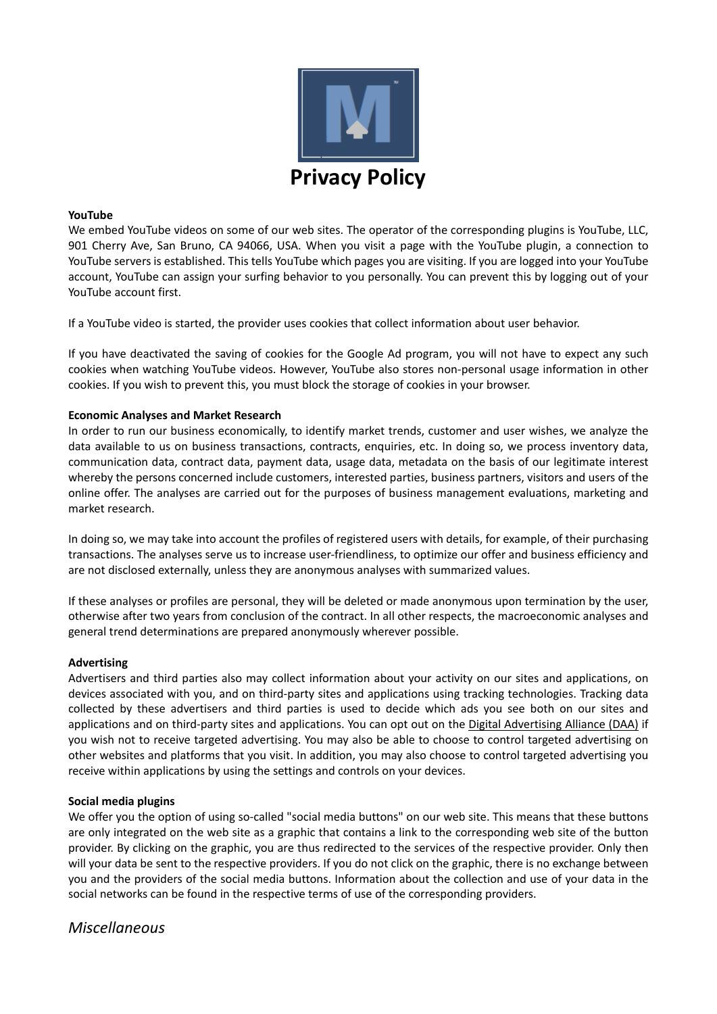

#### **YouTube**

We embed YouTube videos on some of our web sites. The operator of the corresponding plugins is YouTube, LLC, 901 Cherry Ave, San Bruno, CA 94066, USA. When you visit a page with the YouTube plugin, a connection to YouTube servers is established. This tells YouTube which pages you are visiting. If you are logged into your YouTube account, YouTube can assign your surfing behavior to you personally. You can prevent this by logging out of your YouTube account first.

If a YouTube video is started, the provider uses cookies that collect information about user behavior.

If you have deactivated the saving of cookies for the Google Ad program, you will not have to expect any such cookies when watching YouTube videos. However, YouTube also stores non-personal usage information in other cookies. If you wish to prevent this, you must block the storage of cookies in your browser.

### **Economic Analyses and Market Research**

In order to run our business economically, to identify market trends, customer and user wishes, we analyze the data available to us on business transactions, contracts, enquiries, etc. In doing so, we process inventory data, communication data, contract data, payment data, usage data, metadata on the basis of our legitimate interest whereby the persons concerned include customers, interested parties, business partners, visitors and users of the online offer. The analyses are carried out for the purposes of business management evaluations, marketing and market research.

In doing so, we may take into account the profiles of registered users with details, for example, of their purchasing transactions. The analyses serve us to increase user-friendliness, to optimize our offer and business efficiency and are not disclosed externally, unless they are anonymous analyses with summarized values.

If these analyses or profiles are personal, they will be deleted or made anonymous upon termination by the user, otherwise after two years from conclusion of the contract. In all other respects, the macroeconomic analyses and general trend determinations are prepared anonymously wherever possible.

#### **Advertising**

Advertisers and third parties also may collect information about your activity on our sites and applications, on devices associated with you, and on third-party sites and applications using tracking technologies. Tracking data collected by these advertisers and third parties is used to decide which ads you see both on our sites and applications and on third-party sites and applications. You can opt out on the [Digital Advertising Alliance \(DAA\)](https://optout.aboutads.info/?lang=EN&c=2#!%2F) if you wish not to receive targeted advertising. You may also be able to choose to control targeted advertising on other websites and platforms that you visit. In addition, you may also choose to control targeted advertising you receive within applications by using the settings and controls on your devices.

#### **Social media plugins**

We offer you the option of using so-called "social media buttons" on our web site. This means that these buttons are only integrated on the web site as a graphic that contains a link to the corresponding web site of the button provider. By clicking on the graphic, you are thus redirected to the services of the respective provider. Only then will your data be sent to the respective providers. If you do not click on the graphic, there is no exchange between you and the providers of the social media buttons. Information about the collection and use of your data in the social networks can be found in the respective terms of use of the corresponding providers.

# *Miscellaneous*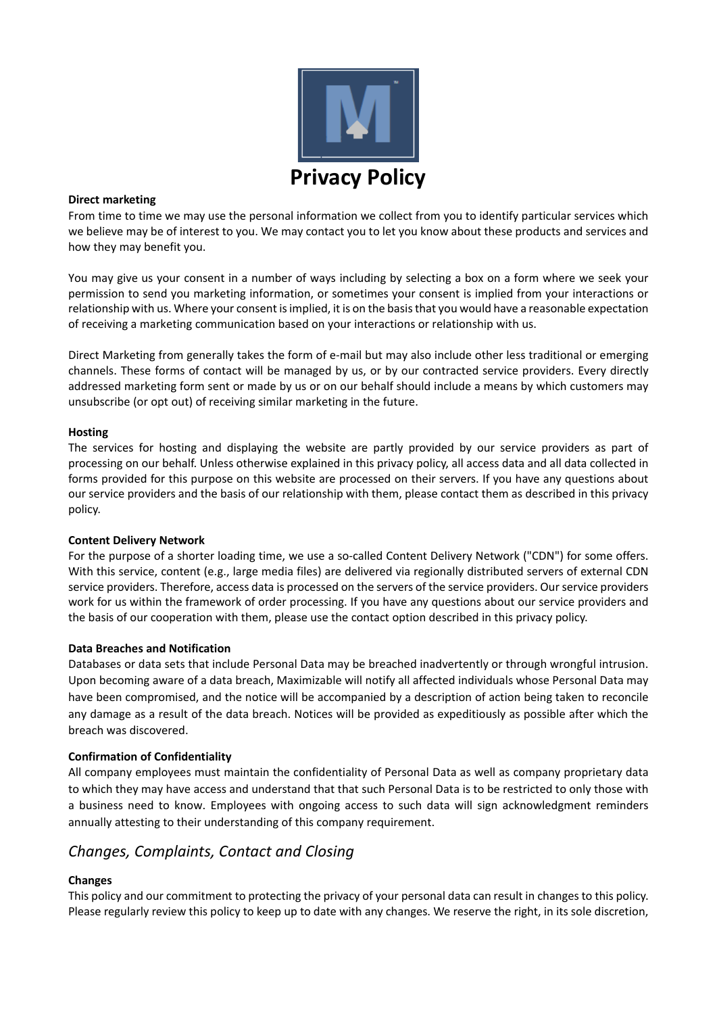

### **Direct marketing**

From time to time we may use the personal information we collect from you to identify particular services which we believe may be of interest to you. We may contact you to let you know about these products and services and how they may benefit you.

You may give us your consent in a number of ways including by selecting a box on a form where we seek your permission to send you marketing information, or sometimes your consent is implied from your interactions or relationship with us. Where your consent is implied, it is on the basis that you would have a reasonable expectation of receiving a marketing communication based on your interactions or relationship with us.

Direct Marketing from generally takes the form of e-mail but may also include other less traditional or emerging channels. These forms of contact will be managed by us, or by our contracted service providers. Every directly addressed marketing form sent or made by us or on our behalf should include a means by which customers may unsubscribe (or opt out) of receiving similar marketing in the future.

### **Hosting**

The services for hosting and displaying the website are partly provided by our service providers as part of processing on our behalf. Unless otherwise explained in this privacy policy, all access data and all data collected in forms provided for this purpose on this website are processed on their servers. If you have any questions about our service providers and the basis of our relationship with them, please contact them as described in this privacy policy.

# **Content Delivery Network**

For the purpose of a shorter loading time, we use a so-called Content Delivery Network ("CDN") for some offers. With this service, content (e.g., large media files) are delivered via regionally distributed servers of external CDN service providers. Therefore, access data is processed on the servers of the service providers. Our service providers work for us within the framework of order processing. If you have any questions about our service providers and the basis of our cooperation with them, please use the contact option described in this privacy policy.

# **Data Breaches and Notification**

Databases or data sets that include Personal Data may be breached inadvertently or through wrongful intrusion. Upon becoming aware of a data breach, Maximizable will notify all affected individuals whose Personal Data may have been compromised, and the notice will be accompanied by a description of action being taken to reconcile any damage as a result of the data breach. Notices will be provided as expeditiously as possible after which the breach was discovered.

# **Confirmation of Confidentiality**

All company employees must maintain the confidentiality of Personal Data as well as company proprietary data to which they may have access and understand that that such Personal Data is to be restricted to only those with a business need to know. Employees with ongoing access to such data will sign acknowledgment reminders annually attesting to their understanding of this company requirement.

# *Changes, Complaints, Contact and Closing*

# **Changes**

This policy and our commitment to protecting the privacy of your personal data can result in changes to this policy. Please regularly review this policy to keep up to date with any changes. We reserve the right, in its sole discretion,